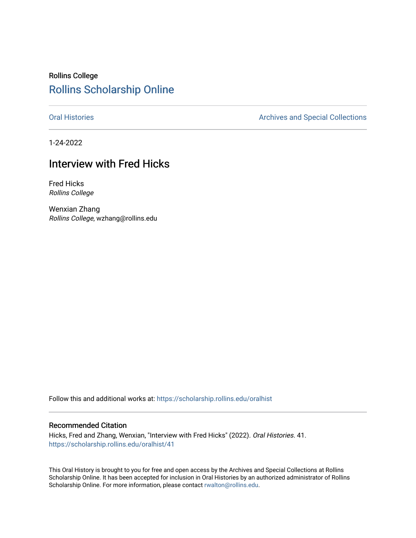# Rollins College [Rollins Scholarship Online](https://scholarship.rollins.edu/)

[Oral Histories](https://scholarship.rollins.edu/oralhist) **Archives and Special Collections** Archives and Special Collections

1-24-2022

## Interview with Fred Hicks

Fred Hicks Rollins College

Wenxian Zhang Rollins College, wzhang@rollins.edu

Follow this and additional works at: [https://scholarship.rollins.edu/oralhist](https://scholarship.rollins.edu/oralhist?utm_source=scholarship.rollins.edu%2Foralhist%2F41&utm_medium=PDF&utm_campaign=PDFCoverPages) 

#### Recommended Citation

Hicks, Fred and Zhang, Wenxian, "Interview with Fred Hicks" (2022). Oral Histories. 41. [https://scholarship.rollins.edu/oralhist/41](https://scholarship.rollins.edu/oralhist/41?utm_source=scholarship.rollins.edu%2Foralhist%2F41&utm_medium=PDF&utm_campaign=PDFCoverPages)

This Oral History is brought to you for free and open access by the Archives and Special Collections at Rollins Scholarship Online. It has been accepted for inclusion in Oral Histories by an authorized administrator of Rollins Scholarship Online. For more information, please contact [rwalton@rollins.edu](mailto:rwalton@rollins.edu).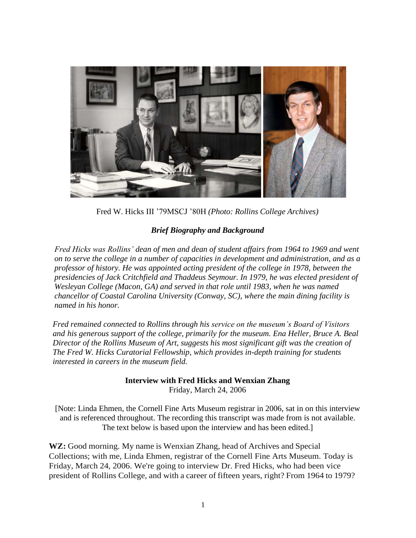

Fred W. Hicks III '79MSCJ '80H *(Photo: Rollins College Archives)*

### *Brief Biography and Background*

*Fred Hicks was Rollins' dean of men and dean of student affairs from 1964 to 1969 and went on to serve the college in a number of capacities in development and administration, and as a professor of history. He was appointed acting president of the college in 1978, between the presidencies of Jack Critchfield and Thaddeus Seymour. In 1979, he was elected president of Wesleyan College (Macon, GA) and served in that role until 1983, when he was named chancellor of Coastal Carolina University (Conway, SC), where the main dining facility is named in his honor.*

*Fred remained connected to Rollins through his service on the museum's Board of Visitors and his generous support of the college, primarily for the museum. Ena Heller, Bruce A. Beal Director of the Rollins Museum of Art, suggests his most significant gift was the creation of The Fred W. Hicks Curatorial Fellowship, which provides in-depth training for students interested in careers in the museum field.* 

> **Interview with Fred Hicks and Wenxian Zhang** Friday, March 24, 2006

[Note: Linda Ehmen, the Cornell Fine Arts Museum registrar in 2006, sat in on this interview and is referenced throughout. The recording this transcript was made from is not available. The text below is based upon the interview and has been edited.]

**WZ:** Good morning. My name is Wenxian Zhang, head of Archives and Special Collections; with me, Linda Ehmen, registrar of the Cornell Fine Arts Museum. Today is Friday, March 24, 2006. We're going to interview Dr. Fred Hicks, who had been vice president of Rollins College, and with a career of fifteen years, right? From 1964 to 1979?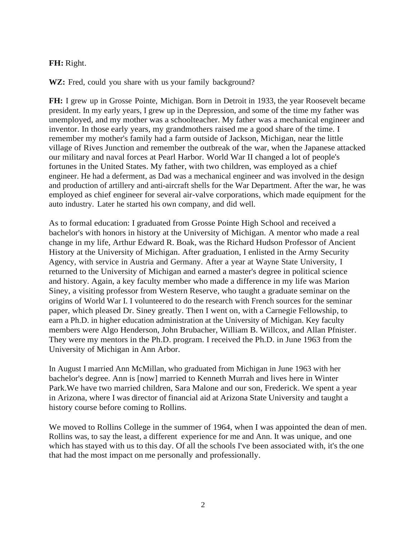### **FH:** Right.

**WZ:** Fred, could you share with us your family background?

**FH:** I grew up in Grosse Pointe, Michigan. Born in Detroit in 1933, the year Roosevelt became president. In my early years, I grew up in the Depression, and some of the time my father was unemployed, and my mother was a schoolteacher. My father was a mechanical engineer and inventor. In those early years, my grandmothers raised me a good share of the time. I remember my mother's family had a farm outside of Jackson, Michigan, near the little village of Rives Junction and remember the outbreak of the war, when the Japanese attacked our military and naval forces at Pearl Harbor. World War II changed a lot of people's fortunes in the United States. My father, with two children, was employed as a chief engineer. He had a deferment, as Dad was a mechanical engineer and was involved in the design and production of artillery and anti-aircraft shells for the War Department. After the war, he was employed as chief engineer for several air-valve corporations, which made equipment for the auto industry. Later he started his own company, and did well.

As to formal education: I graduated from Grosse Pointe High School and received a bachelor's with honors in history at the University of Michigan. A mentor who made a real change in my life, Arthur Edward R. Boak, was the Richard Hudson Professor of Ancient History at the University of Michigan. After graduation, I enlisted in the Army Security Agency, with service in Austria and Germany. After a year at Wayne State University, I returned to the University of Michigan and earned a master's degree in political science and history. Again, a key faculty member who made a difference in my life was Marion Siney, a visiting professor from Western Reserve, who taught a graduate seminar on the origins of World War I. I volunteered to do the research with French sources for the seminar paper, which pleased Dr. Siney greatly. Then I went on, with a Carnegie Fellowship, to earn a Ph.D. in higher education administration at the University of Michigan. Key faculty members were Algo Henderson, John Brubacher, William B. Willcox, and Allan Pfnister. They were my mentors in the Ph.D. program. I received the Ph.D. in June 1963 from the University of Michigan in Ann Arbor.

In August I married Ann McMillan, who graduated from Michigan in June 1963 with her bachelor's degree. Ann is [now] married to Kenneth Murrah and lives here in Winter Park.We have two married children, Sara Malone and our son, Frederick. We spent a year in Arizona, where I was director of financial aid at Arizona State University and taught a history course before coming to Rollins.

We moved to Rollins College in the summer of 1964, when I was appointed the dean of men. Rollins was, to say the least, a different experience for me and Ann. It was unique, and one which has stayed with us to this day. Of all the schools I've been associated with, it's the one that had the most impact on me personally and professionally.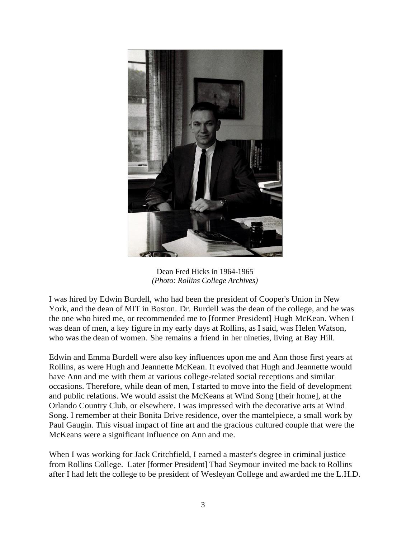

Dean Fred Hicks in 1964-1965 *(Photo: Rollins College Archives)*

I was hired by Edwin Burdell, who had been the president of Cooper's Union in New York, and the dean of MIT in Boston. Dr. Burdell was the dean of the college, and he was the one who hired me, or recommended me to [former President] Hugh McKean. When I was dean of men, a key figure in my early days at Rollins, as I said, was Helen Watson, who was the dean of women. She remains a friend in her nineties, living at Bay Hill.

Edwin and Emma Burdell were also key influences upon me and Ann those first years at Rollins, as were Hugh and Jeannette McKean. It evolved that Hugh and Jeannette would have Ann and me with them at various college-related social receptions and similar occasions. Therefore, while dean of men, I started to move into the field of development and public relations. We would assist the McKeans at Wind Song [their home], at the Orlando Country Club, or elsewhere. I was impressed with the decorative arts at Wind Song. I remember at their Bonita Drive residence, over the mantelpiece, a small work by Paul Gaugin. This visual impact of fine art and the gracious cultured couple that were the McKeans were a significant influence on Ann and me.

When I was working for Jack Critchfield, I earned a master's degree in criminal justice from Rollins College. Later [former President] Thad Seymour invited me back to Rollins after I had left the college to be president of Wesleyan College and awarded me the L.H.D.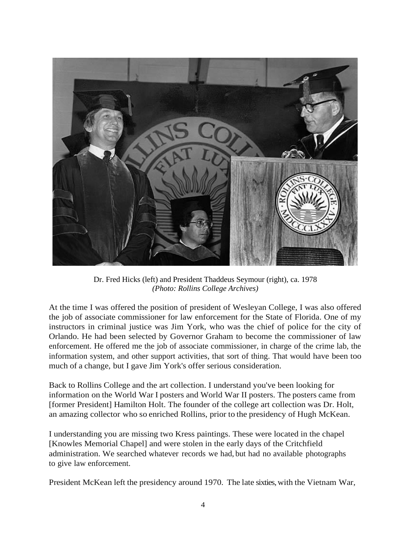

Dr. Fred Hicks (left) and President Thaddeus Seymour (right), ca. 1978 *(Photo: Rollins College Archives)*

At the time I was offered the position of president of Wesleyan College, I was also offered the job of associate commissioner for law enforcement for the State of Florida. One of my instructors in criminal justice was Jim York, who was the chief of police for the city of Orlando. He had been selected by Governor Graham to become the commissioner of law enforcement. He offered me the job of associate commissioner, in charge of the crime lab, the information system, and other support activities, that sort of thing. That would have been too much of a change, but I gave Jim York's offer serious consideration.

Back to Rollins College and the art collection. I understand you've been looking for information on the World War I posters and World War II posters. The posters came from [former President] Hamilton Holt. The founder of the college art collection was Dr. Holt, an amazing collector who so enriched Rollins, prior to the presidency of Hugh McKean.

I understanding you are missing two Kress paintings. These were located in the chapel [Knowles Memorial Chapel] and were stolen in the early days of the Critchfield administration. We searched whatever records we had, but had no available photographs to give law enforcement.

President McKean left the presidency around 1970. The late sixties, with the Vietnam War,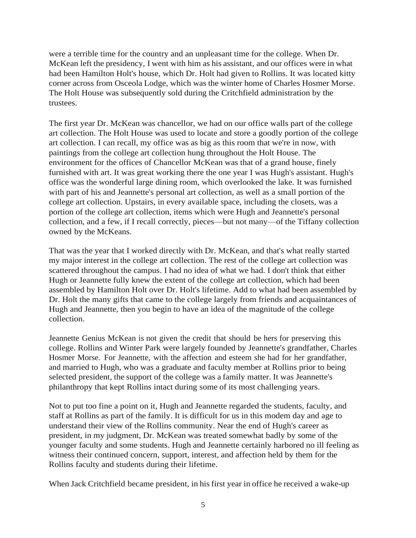were a terrible time for the country and an unpleasant time for the college. When Dr. McKean left the presidency, I went with him as his assistant, and our offices were in what had been Hamilton Holt's house, which Dr. Holt had given to Rollins. It was located kitty corner across from Osceola Lodge, which was the winter home of Charles Hosmer Morse. The Holt House was subsequently sold during the Critchfield administration by the trustees.

The first year Dr. McKean was chancellor, we had on our office walls part of the college art collection. The Holt House was used to locate and store a goodly portion of the college art collection. I can recall, my office was as big as this room that we're in now, with paintings from the college art collection hung throughout the Holt House. The environment for the offices of Chancellor McKean was that of a grand house, finely furnished with art. It was great working there the one year I was Hugh's assistant. Hugh's office was the wonderful large dining room, which overlooked the lake. It was furnished with part of his and Jeannette's personal art collection, as well as a small portion of the college art collection. Upstairs, in every available space, including the closets, was a portion of the college art collection, items which were Hugh and Jeannette's personal collection, and a few, if I recall correctly, pieces—but not many—of the Tiffany collection owned by the McKeans.

That was the year that I worked directly with Dr. McKean, and that's what really started my major interest in the college art collection. The rest of the college art collection was scattered throughout the campus. I had no idea of what we had. I don't think that either Hugh or Jeannette fully knew the extent of the college art collection, which had been assembled by Hamilton Holt over Dr. Holt's lifetime. Add to what had been assembled by Dr. Holt the many gifts that came to the college largely from friends and acquaintances of Hugh and Jeannette, then you begin to have an idea of the magnitude of the college collection.

Jeannette Genius McKean is not given the credit that should be hers for preserving this college. Rollins and Winter Park were largely founded by Jeannette's grandfather, Charles Hosmer Morse. For Jeannette, with the affection and esteem she had for her grandfather, and married to Hugh, who was a graduate and faculty member at Rollins prior to being selected president, the support of the college was a family matter. It was Jeannette's philanthropy that kept Rollins intact during some of its most challenging years.

Not to put too fine a point on it, Hugh and Jeannette regarded the students, faculty, and staff at Rollins as part of the family. It is difficult for us in this modem day and age to understand their view of the Rollins community. Near the end of Hugh's career as president, in my judgment, Dr. McKean was treated somewhat badly by some of the younger faculty and some students. Hugh and Jeannette certainly harbored no ill feeling as witness their continued concern, support, interest, and affection held by them for the Rollins faculty and students during their lifetime.

When Jack Critchfield became president, in his first year in office he received a wake-up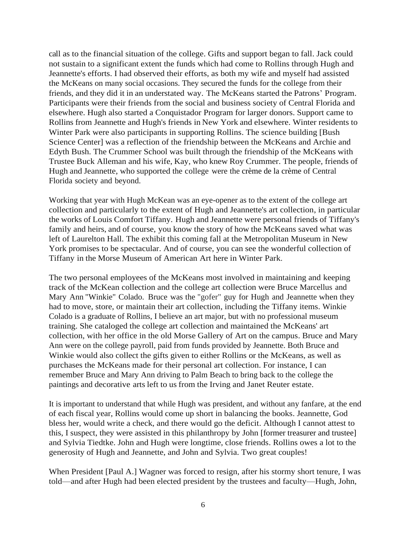call as to the financial situation of the college. Gifts and support began to fall. Jack could not sustain to a significant extent the funds which had come to Rollins through Hugh and Jeannette's efforts. I had observed their efforts, as both my wife and myself had assisted the McKeans on many social occasions. They secured the funds for the college from their friends, and they did it in an understated way. The McKeans started the Patrons' Program. Participants were their friends from the social and business society of Central Florida and elsewhere. Hugh also started a Conquistador Program for larger donors. Support came to Rollins from Jeannette and Hugh's friends in New York and elsewhere. Winter residents to Winter Park were also participants in supporting Rollins. The science building [Bush Science Center] was a reflection of the friendship between the McKeans and Archie and Edyth Bush. The Crummer School was built through the friendship of the McKeans with Trustee Buck Alleman and his wife, Kay, who knew Roy Crummer. The people, friends of Hugh and Jeannette, who supported the college were the crème de la crème of Central Florida society and beyond.

Working that year with Hugh McKean was an eye-opener as to the extent of the college art collection and particularly to the extent of Hugh and Jeannette's art collection, in particular the works of Louis Comfort Tiffany. Hugh and Jeannette were personal friends of Tiffany's family and heirs, and of course, you know the story of how the McKeans saved what was left of Laurelton Hall. The exhibit this coming fall at the Metropolitan Museum in New York promises to be spectacular. And of course, you can see the wonderful collection of Tiffany in the Morse Museum of American Art here in Winter Park.

The two personal employees of the McKeans most involved in maintaining and keeping track of the McKean collection and the college art collection were Bruce Marcellus and Mary Ann "Winkie" Colado. Bruce was the "gofer" guy for Hugh and Jeannette when they had to move, store, or maintain their art collection, including the Tiffany items. Winkie Colado is a graduate of Rollins, I believe an art major, but with no professional museum training. She cataloged the college art collection and maintained the McKeans' art collection, with her office in the old Morse Gallery of Art on the campus. Bruce and Mary Ann were on the college payroll, paid from funds provided by Jeannette. Both Bruce and Winkie would also collect the gifts given to either Rollins or the McKeans, as well as purchases the McKeans made for their personal art collection. For instance, I can remember Bruce and Mary Ann driving to Palm Beach to bring back to the college the paintings and decorative arts left to us from the Irving and Janet Reuter estate.

It is important to understand that while Hugh was president, and without any fanfare, at the end of each fiscal year, Rollins would come up short in balancing the books. Jeannette, God bless her, would write a check, and there would go the deficit. Although I cannot attest to this, I suspect, they were assisted in this philanthropy by John [former treasurer and trustee] and Sylvia Tiedtke. John and Hugh were longtime, close friends. Rollins owes a lot to the generosity of Hugh and Jeannette, and John and Sylvia. Two great couples!

When President [Paul A.] Wagner was forced to resign, after his stormy short tenure, I was told—and after Hugh had been elected president by the trustees and faculty—Hugh, John,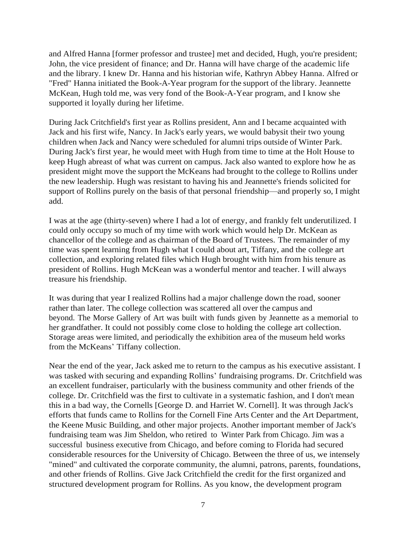and Alfred Hanna [former professor and trustee] met and decided, Hugh, you're president; John, the vice president of finance; and Dr. Hanna will have charge of the academic life and the library. I knew Dr. Hanna and his historian wife, Kathryn Abbey Hanna. Alfred or "Fred" Hanna initiated the Book-A-Year program for the support of the library. Jeannette McKean, Hugh told me, was very fond of the Book-A-Year program, and I know she supported it loyally during her lifetime.

During Jack Critchfield's first year as Rollins president, Ann and I became acquainted with Jack and his first wife, Nancy. In Jack's early years, we would babysit their two young children when Jack and Nancy were scheduled for alumni trips outside of Winter Park. During Jack's first year, he would meet with Hugh from time to time at the Holt House to keep Hugh abreast of what was current on campus. Jack also wanted to explore how he as president might move the support the McKeans had brought to the college to Rollins under the new leadership. Hugh was resistant to having his and Jeannette's friends solicited for support of Rollins purely on the basis of that personal friendship—and properly so, I might add.

I was at the age (thirty-seven) where I had a lot of energy, and frankly felt underutilized. I could only occupy so much of my time with work which would help Dr. McKean as chancellor of the college and as chairman of the Board of Trustees. The remainder of my time was spent learning from Hugh what I could about art, Tiffany, and the college art collection, and exploring related files which Hugh brought with him from his tenure as president of Rollins. Hugh McKean was a wonderful mentor and teacher. I will always treasure his friendship.

It was during that year I realized Rollins had a major challenge down the road, sooner rather than later. The college collection was scattered all over the campus and beyond. The Morse Gallery of Art was built with funds given by Jeannette as a memorial to her grandfather. It could not possibly come close to holding the college art collection. Storage areas were limited, and periodically the exhibition area of the museum held works from the McKeans' Tiffany collection.

Near the end of the year, Jack asked me to return to the campus as his executive assistant. I was tasked with securing and expanding Rollins' fundraising programs. Dr. Critchfield was an excellent fundraiser, particularly with the business community and other friends of the college. Dr. Critchfield was the first to cultivate in a systematic fashion, and I don't mean this in a bad way, the Cornells [George D. and Harriet W. Cornell]. It was through Jack's efforts that funds came to Rollins for the Cornell Fine Arts Center and the Art Department, the Keene Music Building, and other major projects. Another important member of Jack's fundraising team was Jim Sheldon, who retired to Winter Park from Chicago. Jim was a successful business executive from Chicago, and before coming to Florida had secured considerable resources for the University of Chicago. Between the three of us, we intensely "mined" and cultivated the corporate community, the alumni, patrons, parents, foundations, and other friends of Rollins. Give Jack Critchfield the credit for the first organized and structured development program for Rollins. As you know, the development program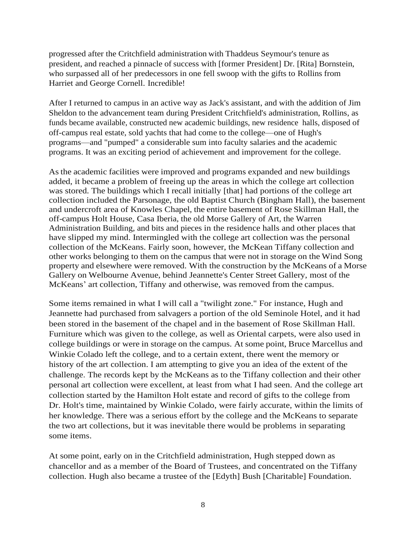progressed after the Critchfield administration with Thaddeus Seymour's tenure as president, and reached a pinnacle of success with [former President] Dr. [Rita] Bornstein, who surpassed all of her predecessors in one fell swoop with the gifts to Rollins from Harriet and George Cornell. Incredible!

After I returned to campus in an active way as Jack's assistant, and with the addition of Jim Sheldon to the advancement team during President Critchfield's administration, Rollins, as funds became available, constructed new academic buildings, new residence halls, disposed of off-campus real estate, sold yachts that had come to the college—one of Hugh's programs—and "pumped" a considerable sum into faculty salaries and the academic programs. It was an exciting period of achievement and improvement for the college.

Asthe academic facilities were improved and programs expanded and new buildings added, it became a problem of freeing up the areas in which the college art collection was stored. The buildings which I recall initially [that] had portions of the college art collection included the Parsonage, the old Baptist Church (Bingham Hall), the basement and undercroft area of Knowles Chapel, the entire basement of Rose Skillman Hall, the off-campus Holt House, Casa Iberia, the old Morse Gallery of Art, the Warren Administration Building, and bits and pieces in the residence halls and other places that have slipped my mind. Intermingled with the college art collection was the personal collection of the McKeans. Fairly soon, however, the McKean Tiffany collection and other works belonging to them on the campus that were not in storage on the Wind Song property and elsewhere were removed. With the construction by the McKeans of a Morse Gallery on Welbourne Avenue, behind Jeannette's Center Street Gallery, most of the McKeans' art collection, Tiffany and otherwise, was removed from the campus.

Some items remained in what I will call a "twilight zone." For instance, Hugh and Jeannette had purchased from salvagers a portion of the old Seminole Hotel, and it had been stored in the basement of the chapel and in the basement of Rose Skillman Hall. Furniture which was given to the college, as well as Oriental carpets, were also used in college buildings or were in storage on the campus. At some point, Bruce Marcellus and Winkie Colado left the college, and to a certain extent, there went the memory or history of the art collection. I am attempting to give you an idea of the extent of the challenge. The records kept by the McKeans as to the Tiffany collection and their other personal art collection were excellent, at least from what I had seen. And the college art collection started by the Hamilton Holt estate and record of gifts to the college from Dr. Holt's time, maintained by Winkie Colado, were fairly accurate, within the limits of her knowledge. There was a serious effort by the college and the McKeans to separate the two art collections, but it was inevitable there would be problems in separating some items.

At some point, early on in the Critchfield administration, Hugh stepped down as chancellor and as a member of the Board of Trustees, and concentrated on the Tiffany collection. Hugh also became a trustee of the [Edyth] Bush [Charitable] Foundation.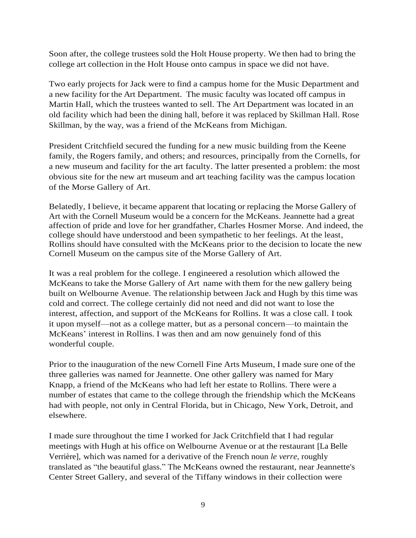Soon after, the college trustees sold the Holt House property. We then had to bring the college art collection in the Holt House onto campus in space we did not have.

Two early projects for Jack were to find a campus home for the Music Department and a new facility for the Art Department. The music faculty was located off campus in Martin Hall, which the trustees wanted to sell. The Art Department was located in an old facility which had been the dining hall, before it was replaced by Skillman Hall. Rose Skillman, by the way, was a friend of the McKeans from Michigan.

President Critchfield secured the funding for a new music building from the Keene family, the Rogers family, and others; and resources, principally from the Cornells, for a new museum and facility for the art faculty. The latter presented a problem: the most obvious site for the new art museum and art teaching facility was the campus location of the Morse Gallery of Art.

Belatedly, I believe, it became apparent that locating or replacing the Morse Gallery of Art with the Cornell Museum would be a concern for the McKeans. Jeannette had a great affection of pride and love for her grandfather, Charles Hosmer Morse. And indeed, the college should have understood and been sympathetic to her feelings. At the least, Rollins should have consulted with the McKeans prior to the decision to locate the new Cornell Museum on the campus site of the Morse Gallery of Art.

It was a real problem for the college. I engineered a resolution which allowed the McKeans to take the Morse Gallery of Art name with them for the new gallery being built on Welbourne Avenue. The relationship between Jack and Hugh by this time was cold and correct. The college certainly did not need and did not want to lose the interest, affection, and support of the McKeans for Rollins. It was a close call. I took it upon myself—not as a college matter, but as a personal concern—to maintain the McKeans' interest in Rollins. I was then and am now genuinely fond of this wonderful couple.

Prior to the inauguration of the new Cornell Fine Arts Museum, I made sure one of the three galleries was named for Jeannette. One other gallery was named for Mary Knapp, a friend of the McKeans who had left her estate to Rollins. There were a number of estates that came to the college through the friendship which the McKeans had with people, not only in Central Florida, but in Chicago, New York, Detroit, and elsewhere.

I made sure throughout the time I worked for Jack Critchfield that I had regular meetings with Hugh at his office on Welbourne Avenue or at the restaurant [La Belle Verrière], which was named for a derivative of the French noun *le verre*, roughly translated as "the beautiful glass." The McKeans owned the restaurant, near Jeannette's Center Street Gallery, and several of the Tiffany windows in their collection were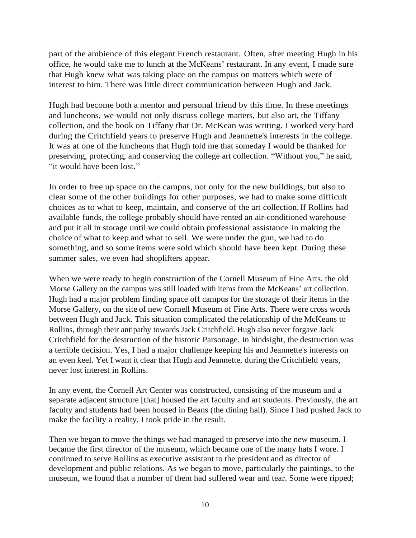part of the ambience of this elegant French restaurant. Often, after meeting Hugh in his office, he would take me to lunch at the McKeans' restaurant. In any event, I made sure that Hugh knew what was taking place on the campus on matters which were of interest to him. There was little direct communication between Hugh and Jack.

Hugh had become both a mentor and personal friend by this time. In these meetings and luncheons, we would not only discuss college matters, but also art, the Tiffany collection, and the book on Tiffany that Dr. McKean was writing. I worked very hard during the Critchfield years to preserve Hugh and Jeannette's interests in the college. It was at one of the luncheons that Hugh told me that someday I would be thanked for preserving, protecting, and conserving the college art collection. "Without you," he said, "it would have been lost."

In order to free up space on the campus, not only for the new buildings, but also to clear some of the other buildings for other purposes, we had to make some difficult choices as to what to keep, maintain, and conserve of the art collection.If Rollins had available funds, the college probably should have rented an air-conditioned warehouse and put it all in storage until we could obtain professional assistance in making the choice of what to keep and what to sell. We were under the gun, we had to do something, and so some items were sold which should have been kept. During these summer sales, we even had shoplifters appear.

When we were ready to begin construction of the Cornell Museum of Fine Arts, the old Morse Gallery on the campus was still loaded with items from the McKeans' art collection. Hugh had a major problem finding space off campus for the storage of their items in the Morse Gallery, on the site of new Cornell Museum of Fine Arts. There were cross words between Hugh and Jack. This situation complicated the relationship of the McKeans to Rollins, through their antipathy towards Jack Critchfield. Hugh also never forgave Jack Critchfield for the destruction of the historic Parsonage. In hindsight, the destruction was a terrible decision. Yes, I had a major challenge keeping his and Jeannette's interests on an even keel. Yet I want it clear that Hugh and Jeannette, during the Critchfield years, never lost interest in Rollins.

In any event, the Cornell Art Center was constructed, consisting of the museum and a separate adjacent structure [that] housed the art faculty and art students. Previously, the art faculty and students had been housed in Beans (the dining hall). Since I had pushed Jack to make the facility a reality, I took pride in the result.

Then we began to move the things we had managed to preserve into the new museum. I became the first director of the museum, which became one of the many hats I wore. I continued to serve Rollins as executive assistant to the president and as director of development and public relations. As we began to move, particularly the paintings, to the museum, we found that a number of them had suffered wear and tear. Some were ripped;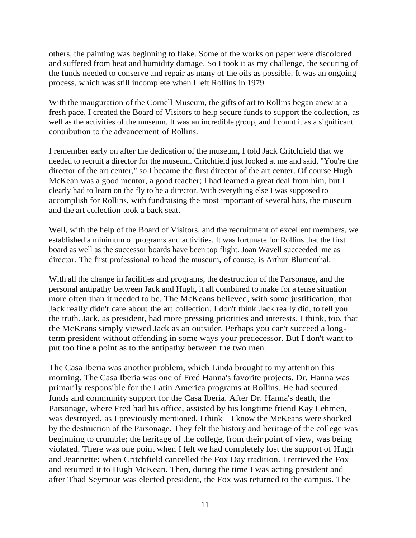others, the painting was beginning to flake. Some of the works on paper were discolored and suffered from heat and humidity damage. So I took it as my challenge, the securing of the funds needed to conserve and repair as many of the oils as possible. It was an ongoing process, which was still incomplete when I left Rollins in 1979.

With the inauguration of the Cornell Museum, the gifts of art to Rollins began anew at a fresh pace. I created the Board of Visitors to help secure funds to support the collection, as well as the activities of the museum. It was an incredible group, and I count it as a significant contribution to the advancement of Rollins.

I remember early on after the dedication of the museum, I told Jack Critchfield that we needed to recruit a director for the museum. Critchfield just looked at me and said, "You're the director of the art center," so I became the first director of the art center. Of course Hugh McKean was a good mentor, a good teacher; I had learned a great deal from him, but I clearly had to learn on the fly to be a director. With everything else I was supposed to accomplish for Rollins, with fundraising the most important of several hats, the museum and the art collection took a back seat.

Well, with the help of the Board of Visitors, and the recruitment of excellent members, we established a minimum of programs and activities. It was fortunate for Rollins that the first board as well as the successor boards have been top flight. Joan Wavell succeeded me as director. The first professional to head the museum, of course, is Arthur Blumenthal.

With all the change in facilities and programs, the destruction of the Parsonage, and the personal antipathy between Jack and Hugh, it all combined to make for a tense situation more often than it needed to be. The McKeans believed, with some justification, that Jack really didn't care about the art collection. I don't think Jack really did, to tell you the truth. Jack, as president, had more pressing priorities and interests. I think, too, that the McKeans simply viewed Jack as an outsider. Perhaps you can't succeed a longterm president without offending in some ways your predecessor. But I don't want to put too fine a point as to the antipathy between the two men.

The Casa Iberia was another problem, which Linda brought to my attention this morning. The Casa Iberia was one of Fred Hanna's favorite projects. Dr. Hanna was primarily responsible for the Latin America programs at Rollins. He had secured funds and community support for the Casa Iberia. After Dr. Hanna's death, the Parsonage, where Fred had his office, assisted by his longtime friend Kay Lehmen, was destroyed, as I previously mentioned. I think—I know the McKeans were shocked by the destruction of the Parsonage. They felt the history and heritage of the college was beginning to crumble; the heritage of the college, from their point of view, was being violated. There was one point when I felt we had completely lost the support of Hugh and Jeannette: when Critchfield cancelled the Fox Day tradition. I retrieved the Fox and returned it to Hugh McKean. Then, during the time I was acting president and after Thad Seymour was elected president, the Fox was returned to the campus. The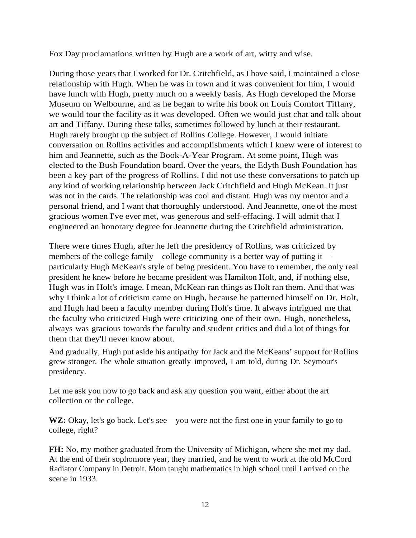Fox Day proclamations written by Hugh are a work of art, witty and wise.

During those years that I worked for Dr. Critchfield, as I have said, I maintained a close relationship with Hugh. When he was in town and it was convenient for him, I would have lunch with Hugh, pretty much on a weekly basis. As Hugh developed the Morse Museum on Welbourne, and as he began to write his book on Louis Comfort Tiffany, we would tour the facility as it was developed. Often we would just chat and talk about art and Tiffany. During these talks, sometimes followed by lunch at their restaurant, Hugh rarely brought up the subject of Rollins College. However, I would initiate conversation on Rollins activities and accomplishments which I knew were of interest to him and Jeannette, such as the Book-A-Year Program. At some point, Hugh was elected to the Bush Foundation board. Over the years, the Edyth Bush Foundation has been a key part of the progress of Rollins. I did not use these conversations to patch up any kind of working relationship between Jack Critchfield and Hugh McKean. It just was not in the cards. The relationship was cool and distant. Hugh was my mentor and a personal friend, and I want that thoroughly understood. And Jeannette, one of the most gracious women I've ever met, was generous and self-effacing. I will admit that I engineered an honorary degree for Jeannette during the Critchfield administration.

There were times Hugh, after he left the presidency of Rollins, was criticized by members of the college family—college community is a better way of putting it particularly Hugh McKean's style of being president. You have to remember, the only real president he knew before he became president was Hamilton Holt, and, if nothing else, Hugh was in Holt's image. I mean, McKean ran things as Holt ran them. And that was why I think a lot of criticism came on Hugh, because he patterned himself on Dr. Holt, and Hugh had been a faculty member during Holt's time. It always intrigued me that the faculty who criticized Hugh were criticizing one of their own. Hugh, nonetheless, always was gracious towards the faculty and student critics and did a lot of things for them that they'll never know about.

And gradually, Hugh put aside his antipathy for Jack and the McKeans' support for Rollins grew stronger. The whole situation greatly improved, I am told, during Dr. Seymour's presidency.

Let me ask you now to go back and ask any question you want, either about the art collection or the college.

WZ: Okay, let's go back. Let's see—you were not the first one in your family to go to college, right?

**FH:** No, my mother graduated from the University of Michigan, where she met my dad. At the end of their sophomore year, they married, and he went to work at the old McCord Radiator Company in Detroit. Mom taught mathematics in high school until I arrived on the scene in 1933.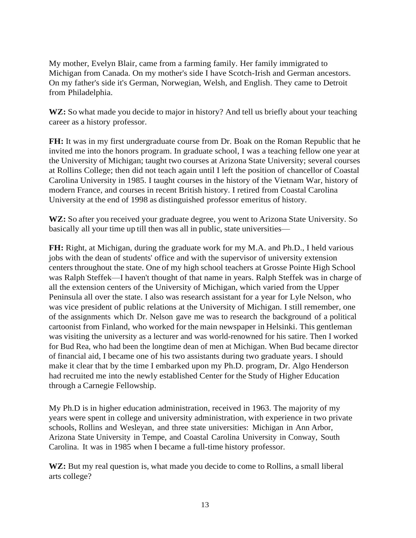My mother, Evelyn Blair, came from a farming family. Her family immigrated to Michigan from Canada. On my mother's side I have Scotch-Irish and German ancestors. On my father's side it's German, Norwegian, Welsh, and English. They came to Detroit from Philadelphia.

WZ: So what made you decide to major in history? And tell us briefly about your teaching career as a history professor.

**FH:** It was in my first undergraduate course from Dr. Boak on the Roman Republic that he invited me into the honors program. In graduate school, I was a teaching fellow one year at the University of Michigan; taught two courses at Arizona State University; several courses at Rollins College; then did not teach again until I left the position of chancellor of Coastal Carolina University in 1985. I taught courses in the history of the Vietnam War, history of modern France, and courses in recent British history. I retired from Coastal Carolina University at the end of 1998 as distinguished professor emeritus of history.

**WZ:** So after you received your graduate degree, you went to Arizona State University. So basically all your time up till then was all in public, state universities—

**FH:** Right, at Michigan, during the graduate work for my M.A. and Ph.D., I held various jobs with the dean of students' office and with the supervisor of university extension centers throughout the state. One of my high school teachers at Grosse Pointe High School was Ralph Steffek—I haven't thought of that name in years. Ralph Steffek was in charge of all the extension centers of the University of Michigan, which varied from the Upper Peninsula all over the state. I also was research assistant for a year for Lyle Nelson, who was vice president of public relations at the University of Michigan. I still remember, one of the assignments which Dr. Nelson gave me was to research the background of a political cartoonist from Finland, who worked for the main newspaper in Helsinki. This gentleman was visiting the university as a lecturer and was world-renowned for his satire. Then I worked for Bud Rea, who had been the longtime dean of men at Michigan. When Bud became director of financial aid, I became one of his two assistants during two graduate years. I should make it clear that by the time I embarked upon my Ph.D. program, Dr. Algo Henderson had recruited me into the newly established Center for the Study of Higher Education through a Carnegie Fellowship.

My Ph.D is in higher education administration, received in 1963. The majority of my years were spent in college and university administration, with experience in two private schools, Rollins and Wesleyan, and three state universities: Michigan in Ann Arbor, Arizona State University in Tempe, and Coastal Carolina University in Conway, South Carolina. It was in 1985 when I became a full-time history professor.

**WZ:** But my real question is, what made you decide to come to Rollins, a small liberal arts college?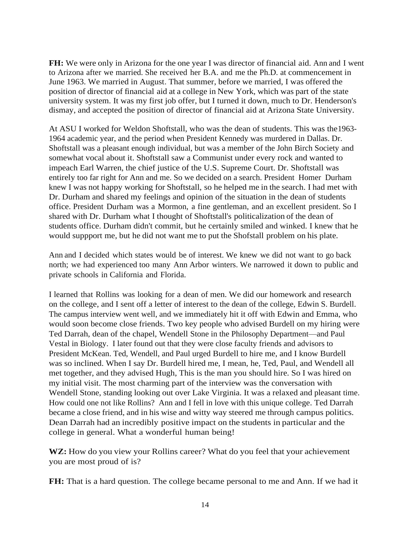**FH:** We were only in Arizona for the one year I was director of financial aid. Ann and I went to Arizona after we married. She received her B.A. and me the Ph.D. at commencement in June 1963. We married in August. That summer, before we married, I was offered the position of director of financial aid at a college in New York, which was part of the state university system. It was my first job offer, but I turned it down, much to Dr. Henderson's dismay, and accepted the position of director of financial aid at Arizona State University.

At ASU I worked for Weldon Shoftstall, who was the dean of students. This was the1963- 1964 academic year, and the period when President Kennedy was murdered in Dallas. Dr. Shoftstall was a pleasant enough individual, but was a member of the John Birch Society and somewhat vocal about it. Shoftstall saw a Communist under every rock and wanted to impeach Earl Warren, the chief justice of the U.S. Supreme Court. Dr. Shoftstall was entirely too far right for Ann and me. So we decided on a search. President Homer Durham knew I was not happy working for Shoftstall, so he helped me in the search. I had met with Dr. Durham and shared my feelings and opinion of the situation in the dean of students office. President Durham was a Mormon, a fine gentleman, and an excellent president. So I shared with Dr. Durham what I thought of Shoftstall's politicalization of the dean of students office. Durham didn't commit, but he certainly smiled and winked. I knew that he would suppport me, but he did not want me to put the Shofstall problem on his plate.

Ann and I decided which states would be of interest. We knew we did not want to go back north; we had experienced too many Ann Arbor winters. We narrowed it down to public and private schools in California and Florida.

I learned that Rollins was looking for a dean of men. We did our homework and research on the college, and I sent off a letter of interest to the dean of the college, Edwin S. Burdell. The campus interview went well, and we immediately hit it off with Edwin and Emma, who would soon become close friends. Two key people who advised Burdell on my hiring were Ted Darrah, dean of the chapel, Wendell Stone in the Philosophy Department—and Paul Vestal in Biology. I later found out that they were close faculty friends and advisors to President McKean. Ted, Wendell, and Paul urged Burdell to hire me, and I know Burdell was so inclined. When I say Dr. Burdell hired me, I mean, he, Ted, Paul, and Wendell all met together, and they advised Hugh, This is the man you should hire. So I was hired on my initial visit. The most charming part of the interview was the conversation with Wendell Stone, standing looking out over Lake Virginia. It was a relaxed and pleasant time. How could one not like Rollins? Ann and I fell in love with this unique college. Ted Darrah became a close friend, and in his wise and witty way steered me through campus politics. Dean Darrah had an incredibly positive impact on the students in particular and the college in general. What a wonderful human being!

**WZ:** How do you view your Rollins career? What do you feel that your achievement you are most proud of is?

**FH:** That is a hard question. The college became personal to me and Ann. If we had it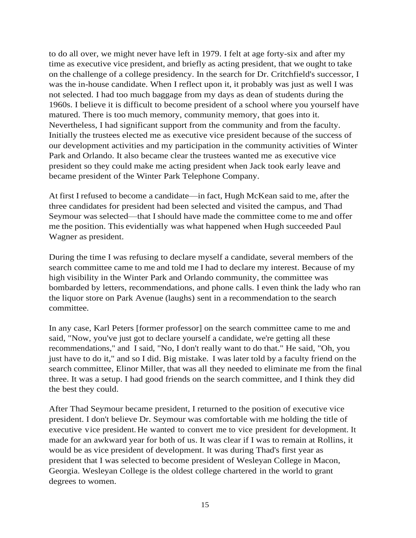to do all over, we might never have left in 1979. I felt at age forty-six and after my time as executive vice president, and briefly as acting president, that we ought to take on the challenge of a college presidency. In the search for Dr. Critchfield's successor, I was the in-house candidate. When I reflect upon it, it probably was just as well I was not selected. I had too much baggage from my days as dean of students during the 1960s. I believe it is difficult to become president of a school where you yourself have matured. There is too much memory, community memory, that goes into it. Nevertheless, I had significant support from the community and from the faculty. Initially the trustees elected me as executive vice president because of the success of our development activities and my participation in the community activities of Winter Park and Orlando. It also became clear the trustees wanted me as executive vice president so they could make me acting president when Jack took early leave and became president of the Winter Park Telephone Company.

At first I refused to become a candidate—in fact, Hugh McKean said to me, after the three candidates for president had been selected and visited the campus, and Thad Seymour was selected—that Ishould have made the committee come to me and offer me the position. This evidentially was what happened when Hugh succeeded Paul Wagner as president.

During the time I was refusing to declare myself a candidate, several members of the search committee came to me and told me I had to declare my interest. Because of my high visibility in the Winter Park and Orlando community, the committee was bombarded by letters, recommendations, and phone calls. I even think the lady who ran the liquor store on Park Avenue (laughs) sent in a recommendation to the search committee.

In any case, Karl Peters [former professor] on the search committee came to me and said, "Now, you've just got to declare yourself a candidate, we're getting all these recommendations," and I said, "No, I don't really want to do that." He said, "Oh, you just have to do it," and so I did. Big mistake. I was later told by a faculty friend on the search committee, Elinor Miller, that was all they needed to eliminate me from the final three. It was a setup. I had good friends on the search committee, and I think they did the best they could.

After Thad Seymour became president, I returned to the position of executive vice president. I don't believe Dr. Seymour was comfortable with me holding the title of executive vice president. He wanted to convert me to vice president for development. It made for an awkward year for both of us. It was clear if I was to remain at Rollins, it would be as vice president of development. It was during Thad's first year as president that I was selected to become president of Wesleyan College in Macon, Georgia. Wesleyan College is the oldest college chartered in the world to grant degrees to women.